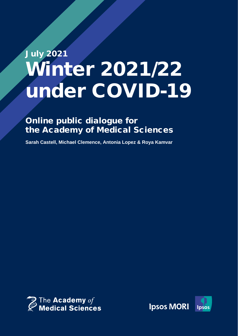# July 2021 Winter 2021/22 under COVID-19

Ipsos MORI | COVID-19 winter 2021/22 public dialogue

# Online public dialogue for the Academy of Medical Sciences

**Sarah Castell, Michael Clemence, Antonia Lopez & Roya Kamvar**



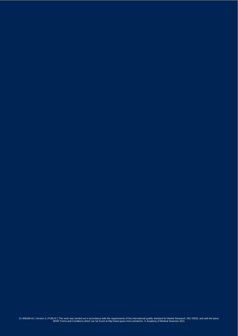21-008169-01 | Version 2 | PUBLIC | This work was carried out in accordance with the requirements of the international quality standard for Market Research, ISO 20252, and with the Ipsos<br>MORI Terms and Conditions which can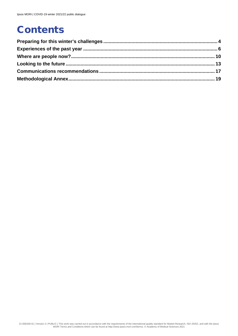# **Contents**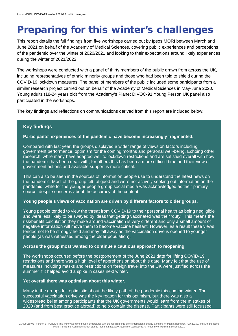# <span id="page-3-0"></span>Preparing for this winter's challenges

This report details the full findings from five workshops carried out by Ipsos MORI between March and June 2021 on behalf of the Academy of Medical Sciences, covering public experiences and perceptions of the pandemic over the winter of 2020/2021 and looking to their expectations around likely experiences during the winter of 2021/2022.

The workshops were conducted with a panel of thirty members of the public drawn from across the UK, including representatives of ethnic minority groups and those who had been told to shield during the COVID-19 lockdown measures. The panel of members of the public included some participants from a similar research project carried out on behalf of the Academy of Medical Sciences in May-June 2020. Young adults (18-24 years old) from the Academy's Planet DIVOC-91 Young Person UK panel also participated in the workshops.

The key findings and reflections on communications derived from this report are included below:

#### **Key findings**

#### **Participants' experiences of the pandemic have become increasingly fragmented.**

Compared with last year, the groups displayed a wider range of views on factors including government performance, optimism for the coming months and personal well-being. Echoing other research, while many have adapted well to lockdown restrictions and are satisfied overall with how the pandemic has been dealt with, for others this has been a more difficult time and their view of government actions and available support is more critical.

This can also be seen in the sources of information people use to understand the latest news on the pandemic. Most of the group felt fatigued and were not actively seeking out information on the pandemic, while for the younger people group social media was acknowledged as their primary source, despite concerns about the accuracy of the content.

#### **Young people's views of vaccination are driven by different factors to older groups.**

Young people tended to view the threat from COVID-19 to their personal health as being negligible and were less likely to be swayed by ideas that getting vaccinated was their 'duty'. This means the risk/benefit calculation they make around vaccination is very different and only a small amount of negative information will move them to become vaccine hesitant. However, as a result these views tended not to be strongly held and may fall away as the vaccination drive is opened to younger people (as was witnessed among the older population).

#### **Across the group most wanted to continue a cautious approach to reopening.**

The workshops occurred before the postponement of the June 2021 date for lifting COVID-19 restrictions and there was a high level of apprehension about this date. Many felt that the use of measures including masks and restrictions on foreign travel into the UK were justified across the summer if it helped avoid a spike in cases next winter.

#### **Yet overall there was optimism about this winter.**

Many in the groups felt optimistic about the likely path of the pandemic this coming winter. The successful vaccination drive was the key reason for this optimism, but there was also a widespread belief among participants that the UK governments would learn from the mistakes of 2020 (and from best practice abroad) to help contain the disease. Participants were still focussed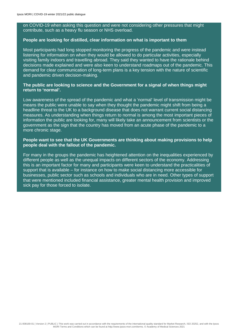on COVID-19 when asking this question and were not considering other pressures that might contribute, such as a heavy flu season or NHS overload.

#### **People are looking for distilled, clear information on what is important to them**

Most participants had long stopped monitoring the progress of the pandemic and were instead listening for information on when they would be allowed to do particular activities, especially visiting family indoors and travelling abroad. They said they wanted to have the rationale behind decisions made explained and were also keen to understand roadmaps out of the pandemic. This demand for clear communication of long-term plans is a key tension with the nature of scientific and pandemic driven decision-making.

#### **The public are looking to science and the Government for a signal of when things might return to 'normal'.**

Low awareness of the spread of the pandemic and what a 'normal' level of transmission might be means the public were unable to say when they thought the pandemic might shift from being a headline threat to the UK to a background disease that does not warrant current social distancing measures. As understanding when things return to normal is among the most important pieces of information the public are looking for, many will likely take an announcement from scientists or the government as the sign that the country has moved from an acute phase of the pandemic to a more chronic stage.

#### **People want to see that the UK Governments are thinking about making provisions to help people deal with the fallout of the pandemic.**

For many in the groups the pandemic has heightened attention on the inequalities experienced by different people as well as the unequal impacts on different sectors of the economy. Addressing this is an important factor for many and participants were keen to understand the practicalities of support that is available – for instance on how to make social distancing more accessible for businesses, public sector such as schools and individuals who are in need. Other types of support that were mentioned included financial assistance, greater mental health provision and improved sick pay for those forced to isolate.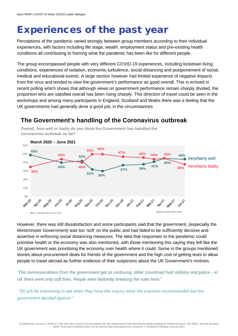# <span id="page-5-0"></span>Experiences of the past year

Perceptions of the pandemic varied strongly between group members according to their individual experiences, with factors including life stage, wealth, employment status and pre-existing health conditions all contributing to framing what the pandemic has been like for different people.

The group encompassed people with very different COVID-19 experiences, including lockdown living conditions, experiences of isolation, economic turbulence, social distancing and postponement of social, medical and educational events. A large section however had limited experience of negative impacts from the virus and tended to view the government's performance as good overall. This is echoed in recent polling which shows that although views on government performance remain sharply divided, the proportion who are satisfied overall has been rising sharply. This direction of travel could be seen in the workshops and among many participants in England, Scotland and Wales there was a feeling that the UK governments had generally done a good job, in the circumstances.

#### **March 2020 – June 2021** $60%$ **50% 50% 49% 47% 46% 44%** 50% **44% 45% 44% 42% Very/fairly well** 40% **45% 41% Very/fairly badly 40% 40% 38% 37% 38%** 30% **35% 32% 30%** 20% 10% **O% May**20 Juni20 Sepric Dec<sub>20</sub> Aug20 April 1 **May212** Jun-21 Oct20 Nov20 Jan21 Febr21 Mar21 **Source:** Ipsos MORI Political Monitor  $b: c.1,000 \, \text{B}$

## **The Government's handling of the Coronavirus outbreak**

**Overall, how well or badly do you think the Government has handled the coronavirus outbreak so far?** 

However, there was still dissatisfaction and some participants said that the government, (especially the Westminster Government) was too 'soft' on the public and had failed to be sufficiently decisive and assertive in enforcing social distancing measures. The idea that responses to the pandemic could prioritise health or the economy was also mentioned, with those mentioning this saying they felt like the UK government was prioritising the economy over health where it could. Some in the groups mentioned stories about procurement deals for friends of the government and the high cost of getting tests to allow people to travel abroad as further evidence of their suspicions about the UK Government's motives.

*"The communications from the government got so confusing, other [countries] had military and police - in UK there were only soft fines. People were blatantly breaking the rules here."* 

*"[It] will be interesting to see when they have the inquiry what the scientists recommended but the government decided against."*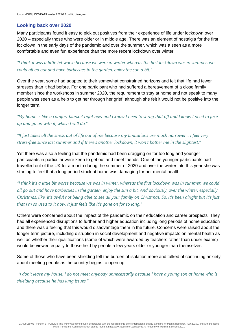### **Looking back over 2020**

Many participants found it easy to pick out positives from their experience of life under lockdown over 2020 – especially those who were older or in middle age. There was an element of nostalgia for the first lockdown in the early days of the pandemic and over the summer, which was a seen as a more comfortable and even fun experience than the more recent lockdown over winter:

*"I think it was a little bit worse because we were in winter whereas the first lockdown was in summer, we could all go out and have barbecues in the garden, enjoy the sun a bit."*

Over the year, some had adapted to their somewhat constrained horizons and felt that life had fewer stresses than it had before. For one participant who had suffered a bereavement of a close family member since the workshops in summer 2020, the requirement to stay at home and not speak to many people was seen as a help to get her through her grief, although she felt it would not be positive into the longer term.

*"My home is like a comfort blanket right now and I know I need to shrug that off and I know I need to face up and go on with it, which I will do."*

*"It just takes all the stress out of life out of me because my limitations are much narrower… I feel very stress-free since last summer and if there's another lockdown, it won't bother me in the slightest."*

Yet there was also a feeling that the pandemic had been dragging on for too long and younger participants in particular were keen to get out and meet friends. One of the younger participants had travelled out of the UK for a month during the summer of 2020 and over the winter into this year she was starting to feel that a long period stuck at home was damaging for her mental health.

*"I think it's a little bit worse because we was in winter, whereas the first lockdown was in summer, we could all go out and have barbecues in the garden, enjoy the sun a bit. And obviously, over the winter, especially Christmas, like, it's awful not being able to see all your family on Christmas. So, it's been alright but it's just that I'm so used to it now, it just feels like it's gone on for so long."*

Others were concerned about the impact of the pandemic on their education and career prospects. They had all experienced disruptions to further and higher education including long periods of home education and there was a feeling that this would disadvantage them in the future. Concerns were raised about the longer-term picture, including disruption in social development and negative impacts on mental health as well as whether their qualifications (some of which were awarded by teachers rather than under exams) would be viewed equally to those held by people a few years older or younger than themselves.

Some of those who have been shielding felt the burden of isolation more and talked of continuing anxiety about meeting people as the country begins to open up

*"I don't leave my house. I do not meet anybody unnecessarily because I have a young son at home who is shielding because he has lung issues."*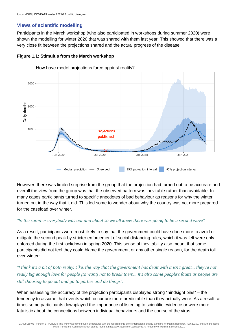#### **Views of scientific modelling**

Participants in the March workshop (who also participated in workshops during summer 2020) were shown the modelling for winter 2020 that was shared with them last year. This showed that there was a very close fit between the projections shared and the actual progress of the disease:

#### **Figure 1.1: Stimulus from the March workshop**



How have model projections fared against reality?

However, there was limited surprise from the group that the projection had turned out to be accurate and overall the view from the group was that the observed pattern was inevitable rather than avoidable. In many cases participants turned to specific anecdotes of bad behaviour as reasons for why the winter turned out in the way that it did. This led some to wonder about why the country was not more prepared for the caseload over winter.

#### *"In the summer everybody was out and about so we all knew there was going to be a second wave".*

As a result, participants were most likely to say that the government could have done more to avoid or mitigate the second peak by stricter enforcement of social distancing rules, which it was felt were only enforced during the first lockdown in spring 2020. This sense of inevitability also meant that some participants did not feel they could blame the government, or any other single reason, for the death toll over winter:

*"I think it's a bit of both really. Like, the way that the government has dealt with it isn't great… they're not really big enough laws for people [to want] not to break them… It's also some people's faults as people are still choosing to go out and go to parties and do things".* 

When assessing the accuracy of the projection participants displayed strong "hindsight bias" – the tendency to assume that events which occur are more predictable than they actually were. As a result, at times some participants downplayed the importance of listening to scientific evidence or were more fatalistic about the connections between individual behaviours and the course of the virus.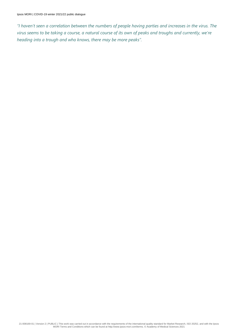*"I haven't seen a correlation between the numbers of people having parties and increases in the virus. The virus seems to be taking a course, a natural course of its own of peaks and troughs and currently, we're heading into a trough and who knows, there may be more peaks".*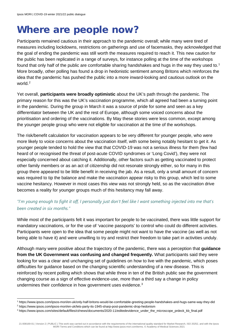# <span id="page-9-0"></span>Where are people now?

Participants remained cautious in their approach to the pandemic overall; while many were tired of measures including lockdowns, restrictions on gatherings and use of facemasks, they acknowledged that the goal of ending the pandemic was still worth the measures required to reach it. This new caution for the public has been replicated in a range of surveys, for instance polling at the time of the workshops found that only half of the public are comfortable sharing handshakes and hugs in the way they used to.<sup>[1](#page-9-1)</sup> More broadly, other polling has found a drop in hedonistic sentiment among Britons which reinforces the idea that the pandemic has pushed the public into a more inward-looking and cautious outlook on the world.<sup>[2](#page-9-2)</sup>

Yet overall, **participants were broadly optimistic** about the UK's path through the pandemic. The primary reason for this was the UK's vaccination programme, which all agreed had been a turning point in the pandemic. During the group in March it was a source of pride for some and seen as a key differentiator between the UK and the rest of Europe, although some voiced concerns about the prioritisation and ordering of the vaccinations. By May these stories were less common, except among the younger people group who were not eligible for vaccination at the time of the workshops.

The risk/benefit calculation for vaccination appears to be very different for younger people, who were more likely to voice concerns about the vaccination itself, with some being notably hesitant to get it. As younger people tended to hold the view that that COVID-19 was not a serious illness for them (few had heard of or recognised the threat of post-acute COVID syndromes or 'Long Covid'), they were not especially concerned about catching it. Additionally, other factors such as getting vaccinated to protect other family members or as an act of citizenship did not resonate strongly either, so for many in this group there appeared to be little benefit in receiving the jab. As a result, only a small amount of concern was required to tip the balance and make the vaccination appear risky to this group, which led to some vaccine hesitancy. However in most cases this view was not strongly held, so as the vaccination drive becomes a reality for younger groups much of this hesitancy may fall away.

### *"I'm young enough to fight it off, I personally just don't feel like I want something injected into me that's been created in six months."*

While most of the participants felt it was important for people to be vaccinated, there was little support for mandatory vaccinations, or for the use of 'vaccine passports' to control who could do different activities. Participants were open to the idea that some people might not want to have the vaccine (as well as not being able to have it) and were unwilling to try and restrict their freedom to take part in activities unduly.

Although many were positive about the trajectory of the pandemic, there was a perception that **guidance from the UK Government was confusing and changed frequently.** What participants said they were looking for was a clear and unchanging set of guidelines on how to live with the pandemic, which poses difficulties for guidance based on the changing scientific understanding of a new disease. This is reinforced by recent polling which shows that while three in ten of the British public see the government changing course as a sign of effective evidence-use, more than a third say a change in policy undermines their confidence in how government uses evidence.<sup>[3](#page-9-3)</sup>

<span id="page-9-1"></span><sup>1</sup> https://www.ipsos.com/ipsos-mori/en-uk/only-half-britons-would-be-comfortable-greeting-people-handshakes-and-hugs-same-way-they-did

<span id="page-9-2"></span><sup>2</sup> https://www.ipsos.com/ipsos-mori/en-uk/lets-party-its-1945-sharp-post-pandemic-drop-hedonism

<span id="page-9-3"></span><sup>3</sup> https://www.ipsos.com/sites/default/files/ct/news/documents/2020-11/editedevidence\_under\_the\_microscope\_prdeck\_kb\_final.pdf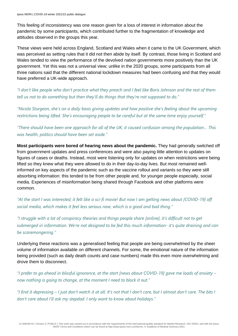This feeling of inconsistency was one reason given for a loss of interest in information about the pandemic by some participants, which contributed further to the fragmentation of knowledge and attitudes observed in the groups this year.

These views were held across England, Scotland and Wales when it came to the UK Government, which was perceived as setting rules that it did not then abide by itself. By contrast, those living in Scotland and Wales tended to view the performance of the devolved nation governments more positively than the UK government. Yet this was not a universal view; unlike in the 2020 groups, some participants from all three nations said that the different national lockdown measures had been confusing and that they would have preferred a UK-wide approach.

*"I don't like people who don't practice what they preach and I feel like Boris Johnson and the rest of them tell us not to do something but then they'll do things that they're not supposed to do."*

*"Nicola Sturgeon, she's on a daily basis giving updates and how positive she's feeling about the upcoming restrictions being lifted. She's encouraging people to be careful but at the same time enjoy yourself."*

*"There should have been one approach for all of the UK, it caused confusion among the population… This was health, politics should have been set aside."* 

**Most participants were bored of hearing news about the pandemic.** They had generally switched off from government updates and press conferences and were also paying little attention to updates on figures of cases or deaths. Instead, most were listening only for updates on when restrictions were being lifted so they knew what they were allowed to do in their day-to-day lives. But most remained wellinformed on key aspects of the pandemic such as the vaccine rollout and variants so they were still absorbing information: this tended to be from other people and, for younger people especially, social media. Experiences of misinformation being shared through Facebook and other platforms were common.

*"At the start I was interested, it felt like a sci-fi movie! But now I am getting news about [COVID-19] off social media, which makes it feel less serious now, which is a good and bad thing."*

*"I struggle with a lot of conspiracy theories and things people share [online], it's difficult not to get submerged in information. We're not designed to be fed this much information- it's quite draining and can be scaremongering."*

Underlying these reactions was a generalised feeling that people are being overwhelmed by the sheer volume of information available on different channels. For some, the emotional nature of the information being provided (such as daily death counts and case numbers) made this even more overwhelming and drove them to disconnect.

*"I prefer to go ahead in blissful ignorance, at the start [news about COVID-19] gave me loads of anxiety – now nothing is going to change, at the moment I need to block it out."*

*"I find it depressing – I just don't watch it at all. It's not that I don't care, but I almost don't care. The bits I don't care about I'll ask my stepdad. I only want to know about holidays."*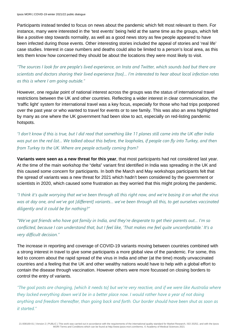Participants instead tended to focus on news about the pandemic which felt most relevant to them. For instance, many were interested in the 'test events' being held at the same time as the groups, which felt like a positive step towards normality, as well as a good news story as few people appeared to have been infected during those events. Other interesting stories included the appeal of stories and 'real life' case studies. Interest in case numbers and deaths could also be limited to a person's local area, as this lets them know how concerned they should be about the locations they were most likely to visit.

*"The sources I look for are people's lived experience, on Insta and Twitter, which sounds bad but there are scientists and doctors sharing their lived experience [too]… I'm interested to hear about local infection rates as this is where I am going outside."* 

However, one regular point of national interest across the groups was the status of international travel restrictions between the UK and other countries. Reflecting a wider interest in clear communication, the 'traffic light' system for international travel was a key focus, especially for those who had trips postponed over the past year or who wanted to travel for events or to see family. This was also an area highlighted by many as one where the UK government had been slow to act, especially on red-listing pandemic hotspots.

*"I don't know if this is true, but I did read that something like 11 planes still came into the UK after India*  was put on the red list... We talked about this before, the loopholes, if people can fly into Turkey, and then *from Turkey to the UK. Where are people actually coming from?*

**Variants were seen as a new threat for this year**, that most participants had not considered last year. At the time of the main workshop the "delta" variant first identified in India was spreading in the UK and this caused some concern for participants. In both the March and May workshops participants felt that the spread of variants was a new threat for 2021 which hadn't been considered by the government or scientists in 2020, which caused some frustration as they worried that this might prolong the pandemic.

*"I think it's quite worrying that we've been through all this right now, and we're basing it on what the virus was at day one, and we've got [different] variants… we've been through all this, to get ourselves vaccinated diligently and it could be for nothing?"*

*"We've got friends who have got family in India, and they're desperate to get their parents out… I'm so conflicted, because I can understand that, but I feel like, 'That makes me feel quite uncomfortable.' It's a very difficult decision."*

The increase in reporting and coverage of COVID-19 variants moving between countries combined with a strong interest in travel to give some participants a more global view of the pandemic. For some, this led to concern about the rapid spread of the virus in India and other (at the time) mostly unvaccinated countries and a feeling that the UK and other wealthy nations would have to help with a global effort to contain the disease through vaccination. However others were more focussed on closing borders to control the entry of variants.

*"The goal posts are changing, [which it needs to] but we're very reactive, and if we were like Australia where they locked everything down we'd be in a better place now. I would rather have a year of not doing anything and freedom thereafter, than going back and forth. Our border should have been shut as soon as it started."*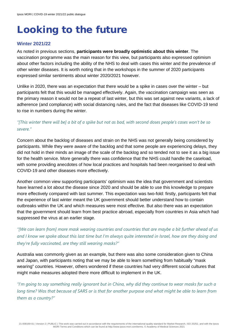# <span id="page-12-0"></span>Looking to the future

### **Winter 2021/22**

As noted in previous sections, **participants were broadly optimistic about this winter**. The vaccination programme was the main reason for this view, but participants also expressed optimism about other factors including the ability of the NHS to deal with cases this winter and the prevalence of other winter diseases. It is worth noting that in the workshops in the summer of 2020 participants expressed similar sentiments about winter 2020/2021 however.

Unlike in 2020, there was an expectation that there would be a spike in cases over the winter – but participants felt that this would be managed effectively. Again, the vaccination campaign was seen as the primary reason it would not be a repeat of last winter, but this was set against new variants, a lack of adherence (and compliance) with social distancing rules, and the fact that diseases like COVID-19 tend to rise in numbers during the winter.

### *"[This winter there will be] a bit of a spike but not as bad, with second doses people's cases won't be so severe."*

Concern about the backlog of diseases and strain on the NHS was not generally being considered by participants. While they were aware of the backlog and that some people are experiencing delays, they did not hold in their minds an image of the scale of the backlog and so tended not to see it as a big issue for the health service. More generally there was confidence that the NHS could handle the caseload, with some providing anecdotes of how local practices and hospitals had been reorganised to deal with COVID-19 and other diseases more effectively.

Another common view supporting participants' optimism was the idea that government and scientists have learned a lot about the disease since 2020 and should be able to use this knowledge to prepare more effectively compared with last summer. This expectation was two-fold: firstly, participants felt that the experience of last winter meant the UK government should better understand how to contain outbreaks within the UK and which measures were most effective. But also there was an expectation that the government should learn from best practice abroad, especially from countries in Asia which had suppressed the virus at an earlier stage.

*"[We can learn from] more mask wearing countries and countries that are maybe a bit further ahead of us and I know we spoke about this last time but I'm always quite interested in Israel, how are they doing and they're fully vaccinated, are they still wearing masks?"*

Australia was commonly given as an example, but there was also some consideration given to China and Japan, with participants noting that we may be able to learn something from habitually "mask wearing" countries. However, others wondered if these countries had very different social cultures that might make measures adopted there more difficult to implement in the UK.

*"I'm going to say something really ignorant but in China, why did they continue to wear masks for such a long time? Was that because of SARS or is that for another purpose and what might be able to learn from them as a country?"*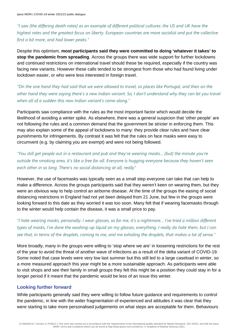*"I saw [the differing death rates] as an example of different political cultures: the US and UK have the highest rates and the greatest focus on liberty. European countries are more socialist and put the collective first a bit more, and had lower peaks."* 

Despite this optimism, **most participants said they were committed to doing 'whatever it takes' to stop the pandemic from spreading**. Across the groups there was wide support for further lockdowns and continued restrictions on international travel should these be required, especially if the country was facing new variants. However these calls tended to be strongest from those who had found living under lockdown easier, or who were less interested in foreign travel.

*"On the one hand they had said that we were allowed to travel, so places like Portugal, and then on the other hand they were saying there's a new Indian variant. So, I don't understand why they can let you travel when all of a sudden this new Indian variant's come along."*

Participants saw compliance with the rules as the most important factor which would decide the likelihood of avoiding a winter spike. As elsewhere, there was a general suspicion that 'other people' are not following the rules and a common demand that the government be stricter in enforcing them. This may also explain some of the appeal of lockdowns to many: they provide clear rules and have clear punishments for infringements. By contrast it was felt that the rules on face masks were easy to circumvent (e.g. by claiming you are exempt) and were not being followed.

*"You still get people out in a restaurant and pub and they're wearing masks… [but] the minute you're outside the smoking area, it's like a free for all. Everyone is hugging everyone because they haven't seen each other in so long. There's no social distancing at all, really"*

However, the use of facemasks was typically seen as a small step everyone can take that can help to make a difference. Across the groups participants said that they weren't keen on wearing them, but they were an obvious way to help control an airborne disease. At the time of the groups the easing of social distancing restrictions in England had not yet been delayed from 21 June, but few in the groups were looking forward to this date as they worried it was too soon. Many felt that if wearing facemasks through to the winter would help contain the disease, it was a small price to pay.

*"I hate wearing masks, personally. I wear glasses, so for me, it's a nightmare… I've tried a million different types of masks, I've done the washing-up liquid on my glasses, everything. I really do hate them, but I can see that, in terms of the droplets, coming to me, and me exhaling the droplets, that makes a lot of sense."*

More broadly, many in the groups were willing to 'stop where we are' in loosening restrictions for the rest of the year to avoid the threat of another wave of infections as a result of the delta variant of COVID-19. Some noted that case levels were very low last summer but this still led to a large caseload in winter, so a more measured approach this year might be a more sustainable approach. As participants were able to visit shops and see their family in small groups they felt this might be a position they could stay in for a longer period if it meant that the pandemic would be less of an issue this winter.

#### **Looking further forward**

While participants generally said they were willing to follow future guidance and requirements to control the pandemic, in line with the wider fragmentation of experienced and attitudes it was clear that they were starting to take more personalised judgements on what steps are acceptable for them. Behaviours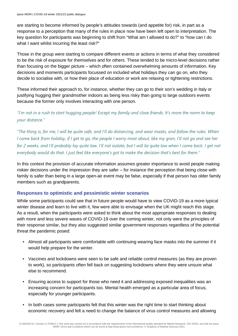are starting to become informed by people's attitudes towards (and appetite for) risk, in part as a response to a perception that many of the rules in place now have been left open to interpretation. The key question for participants was beginning to shift from "What am I allowed to do?" to "how can I do what I want whilst incurring the least risk?"

Those in the group were starting to compare different events or actions in terms of what they considered to be the risk of exposure for themselves and for others. These tended to be micro-level decisions rather than focusing on the bigger picture – which often contained overwhelming amounts of information. Key decisions and moments participants focussed on included what holidays they can go on, who they decide to socialise with, or how their place of education or work are relaxing or tightening restrictions.

These informed their approach to, for instance, whether they can go to their son's wedding in Italy or justifying hugging their grandmother indoors as being less risky than going to large outdoors events because the former only involves interacting with one person.

### *"I'm not in a rush to start hugging people! Except my family and close friends. It's more the norm to keep your distance."*

*"The thing is, for me, I will be quite safe, and I'll do distancing, and wear masks, and follow the rules. When I come back from holiday, if I get to go, the people I worry most about, like my gran, I'll not go and see her for 2 weeks, and I'll probably lay quite low. I'll not isolate, but I will lie quite low when I come back. I get not everybody would do that. I just feel like everyone's got to make the decision that's best for them."*

In this context the provision of accurate information assumes greater importance to avoid people making riskier decisions under the impression they are safer – for instance the perception that being close with family is safer than being in a large open-air event may be false, especially if that person has older family members such as grandparents.

### **Responses to optimistic and pessimistic winter scenarios**

While some participants could see that in future people would have to view COVID-19 as a more typical winter disease and learn to live with it, few were able to envisage when the UK might reach this stage. As a result, when the participants were asked to think about the most appropriate responses to dealing with more and less severe waves of COVID-19 over the coming winter, not only were the principles of their response similar, but they also suggested similar government responses regardless of the potential threat the pandemic posed:

- Almost all participants were comfortable with continuing wearing face masks into the summer if it would help prepare for the winter.
- Vaccines and lockdowns were seen to be safe and reliable control measures (as they are proven to work), so participants often fell back on suggesting lockdowns where they were unsure what else to recommend.
- Ensuring access to support for those who need it and addressing exposed inequalities was an increasing concern for participants too. Mental health emerged as a particular area of focus, especially for younger participants.
- In both cases some participants felt that this winter was the right time to start thinking about economic recovery and felt a need to change the balance of virus control measures and allowing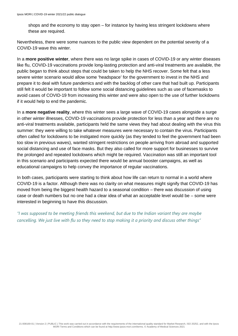shops and the economy to stay open – for instance by having less stringent lockdowns where these are required.

Nevertheless, there were some nuances to the public view dependent on the potential severity of a COVID-19 wave this winter.

In a **more positive winter**, where there was no large spike in cases of COVID-19 or any winter diseases like flu, COVID-19 vaccinations provide long-lasting protection and anti-viral treatments are available, the public began to think about steps that could be taken to help the NHS recover. Some felt that a less severe winter scenario would allow some 'headspace' for the government to invest in the NHS and prepare it to deal with future pandemics and with the backlog of other care that had built up. Participants still felt it would be important to follow some social distancing guidelines such as use of facemasks to avoid cases of COVID-19 from increasing this winter and were also open to the use of further lockdowns if it would help to end the pandemic.

In a **more negative reality**, where this winter sees a large wave of COVID-19 cases alongside a surge in other winter illnesses, COVID-19 vaccinations provide protection for less than a year and there are no anti-viral treatments available, participants held the same views they had about dealing with the virus this summer: they were willing to take whatever measures were necessary to contain the virus. Participants often called for lockdowns to be instigated more quickly (as they tended to feel the government had been too slow in previous waves), wanted stringent restrictions on people arriving from abroad and supported social distancing and use of face masks. But they also called for more support for businesses to survive the prolonged and repeated lockdowns which might be required. Vaccination was still an important tool in this scenario and participants expected there would be annual booster campaigns, as well as educational campaigns to help convey the importance of regular vaccinations.

In both cases, participants were starting to think about how life can return to normal in a world where COVID-19 is a factor. Although there was no clarity on what measures might signify that COVID-19 has moved from being the biggest health hazard to a seasonal condition – there was discussion of using case or death numbers but no one had a clear idea of what an acceptable level would be – some were interested in beginning to have this discussion.

*"I was supposed to be meeting friends this weekend, but due to the Indian variant they are maybe cancelling. We just live with flu so they need to stop making it a priority and discuss other things"*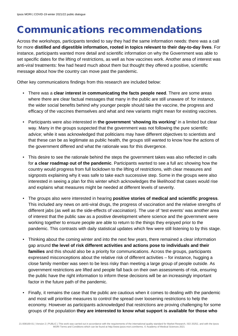# <span id="page-16-0"></span>Communications recommendations

Across the workshops, participants tended to say they had the same information needs: there was a call for more **distilled and digestible information, rooted in topics relevant to their day-to-day lives**. For instance, participants wanted more detail and scientific information on why the Government was able to set specific dates for the lifting of restrictions, as well as how vaccines work. Another area of interest was anti-viral treatments: few had heard much about them but thought they offered a positive, scientific message about how the country can move past the pandemic.

Other key communications findings from this research are included below:

- There was a **clear interest in communicating the facts people need**. There are some areas where there are clear factual messages that many in the public are still unaware of: for instance, the wider social benefits behind why younger people should take the vaccine, the progress and efficacy of the vaccines themselves and what and new variants might mean for existing vaccines.
- Participants were also interested in **the government 'showing its working'** in a limited but clear way. Many in the groups suspected that the government was not following the pure scientific advice; while it was acknowledged that politicians may have different objectives to scientists and that these can be as legitimate as public health, the groups still wanted to know how the actions of the government differed and what the rationale was for this divergence.
- This desire to see the rationale behind the steps the government takes was also reflected in calls for **a clear roadmap out of the pandemic**. Participants wanted to see a full arc showing how the country would progress from full lockdown to the lifting of restrictions, with clear measures and signposts explaining why it was safe to take each successive step. Some in the groups were also interested in seeing a plan for this winter which acknowledges the likelihood that cases would rise and explains what measures might be needed at different levels of severity.
- The groups also were interested in hearing **positive stories of medical and scientific progress**. This included any news on anti-viral drugs, the progress of vaccination and the relative strengths of different jabs (as well as the side-effects of vaccination). The use of 'test events' was another area of interest that the public saw as a positive development where science and the government were working together to ensure people are able to return to the things they enjoyed prior to the pandemic. This contrasts with daily statistical updates which few were still listening to by this stage.
- Thinking about the coming winter and into the next few years, there remained a clear information gap around **the level of risk different activities and actions pose to individuals and their families** and this should also be a priority for communications. Across the groups, participants expressed misconceptions about the relative risk of different activities – for instance, hugging a close family member was seen to be less risky than meeting a large group of people outside. As government restrictions are lifted and people fall back on their own assessments of risk, ensuring the public have the right information to inform these decisions will be an increasingly important factor in the future path of the pandemic.
- Finally, it remains the case that the public are cautious when it comes to dealing with the pandemic and most will prioritise measures to control the spread over loosening restrictions to help the economy. However as participants acknowledged that restrictions are proving challenging for some groups of the population **they are interested to know what support is available for those who**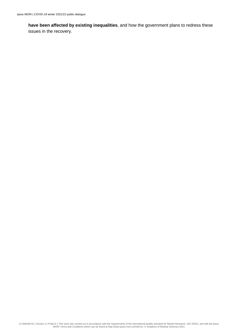**have been affected by existing inequalities**, and how the government plans to redress these issues in the recovery.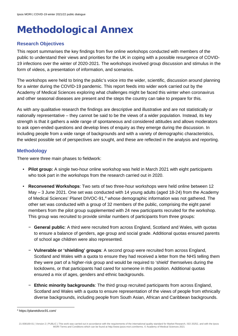# <span id="page-18-0"></span>Methodological Annex

### **Research Objectives**

This report summarises the key findings from five online workshops conducted with members of the public to understand their views and priorities for the UK in coping with a possible resurgence of COVID-19 infections over the winter of 2020-2021. The workshops involved group discussion and stimulus in the form of videos, a presentation of information, and scenarios.

The workshops were held to bring the public's voice into the wider, scientific, discussion around planning for a winter during the COVID-19 pandemic. This report feeds into wider work carried out by the Academy of Medical Sciences exploring what challenges might be faced this winter when coronavirus and other seasonal diseases are present and the steps the country can take to prepare for this.

As with any qualitative research the findings are descriptive and illustrative and are not statistically or nationally representative – they cannot be said to be the views of a wider population. Instead, its key strength is that it gathers a wide range of spontaneous and considered attitudes and allows moderators to ask open-ended questions and develop lines of enquiry as they emerge during the discussion. In including people from a wide range of backgrounds and with a variety of demographic characteristics, the widest possible set of perspectives are sought, and these are reflected in the analysis and reporting.

### **Methodology**

There were three main phases to fieldwork:

- **Pilot group:** A single two-hour online workshop was held in March 2021 with eight participants who took part in the workshops from the research carried out in 2020.
- **Reconvened Workshops**: Two sets of two three-hour workshops were held online between 12 May – 3 June 2021. One set was conducted with 14 young adults (aged 18-24) from the Academy of Medical Sciences' Planet DIVOC-91, [4](#page-18-1) whose demographic information was not gathered. The other set was conducted with a group of 32 members of the public, comprising the eight panel members from the pilot group supplemented with 24 new participants recruited for the workshop. This group was recruited to provide similar numbers of participants from three groups:
	- − **General public**: A third were recruited from across England, Scotland and Wales, with quotas to ensure a balance of genders, age group and social grade. Additional quotas ensured parents of school age children were also represented.
	- − **Vulnerable or 'shielding' groups**: A second group were recruited from across England, Scotland and Wales with a quota to ensure they had received a letter from the NHS telling them they were part of a higher-risk group and would be required to 'shield' themselves during the lockdowns, or that participants had cared for someone in this position. Additional quotas ensured a mix of ages, genders and ethnic backgrounds.
	- − **Ethnic minority backgrounds**: The third group recruited participants from across England, Scotland and Wales with a quota to ensure representation of the views of people from ethnically diverse backgrounds, including people from South Asian, African and Caribbean backgrounds.

<span id="page-18-1"></span><sup>4</sup> https://planetdivoc91.com/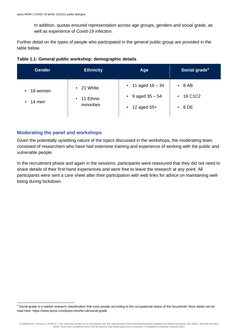In addition, quotas ensured representation across age groups, genders and social grade, as well as experience of Covid-19 infection.

Further detail on the types of people who participated in the general public group are provided in the table below.

|  | Table 1.1: General public workshop: demographic details |  |  |
|--|---------------------------------------------------------|--|--|
|--|---------------------------------------------------------|--|--|

| <b>Gender</b>            | <b>Ethnicity</b>                                         | Age                                                                          | Social grade <sup>5</sup>      |
|--------------------------|----------------------------------------------------------|------------------------------------------------------------------------------|--------------------------------|
| $-18$ women<br>$-14$ men | $-21$ White<br>11 Ethnic<br>$\blacksquare$<br>minorities | $-11$ aged $16 - 34$<br>$-9$ aged $35 - 54$<br>12 aged 55+<br>$\blacksquare$ | $-8AB$<br>$-16$ C1C2<br>$-8DE$ |

#### **Moderating the panel and workshops**

Given the potentially upsetting nature of the topics discussed in the workshops, the moderating team consisted of researchers who have had extensive training and experience of working with the public and vulnerable people.

In the recruitment phase and again in the sessions, participants were reassured that they did not need to share details of their first-hand experiences and were free to leave the research at any point. All participants were sent a care sheet after their participation with web links for advice on maintaining wellbeing during lockdown.

<span id="page-19-0"></span><sup>5</sup> Social grade is a market research classification that sorts people according to the occupational status of the household. More detail can be read here: https://www.ipsos.com/ipsos-mori/en-uk/social-grade